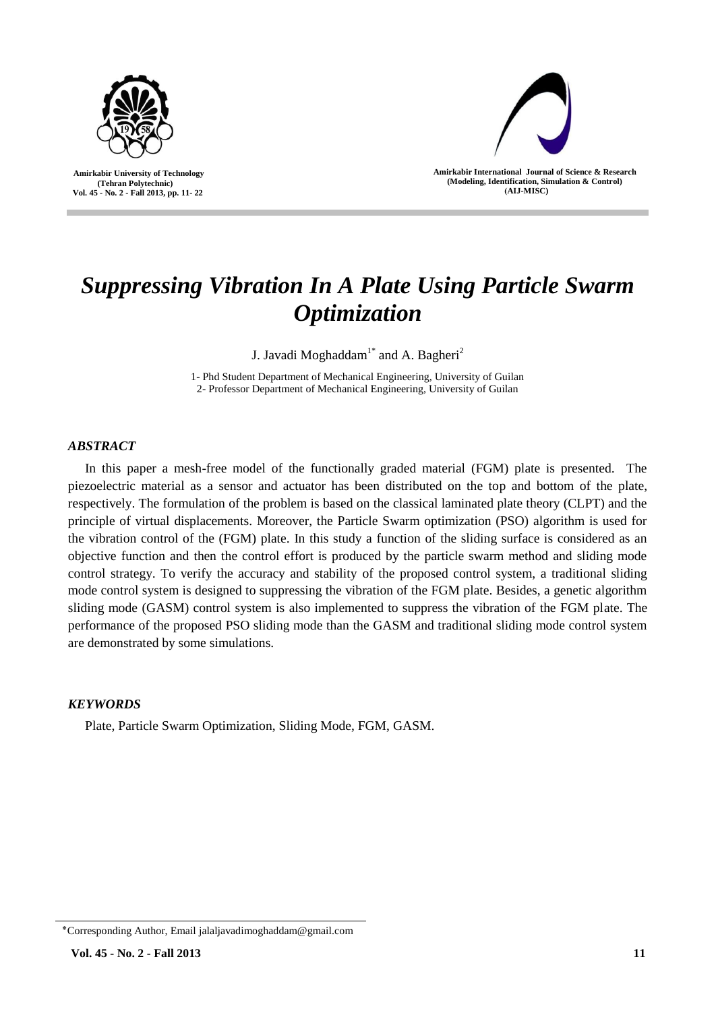

 **Amirkabir University of Technology (Tehran Polytechnic) Vol. 45 - No. 2 - Fall 2013, pp. 11- 22**



**Amirkabir International Journal of Science & Research (Modeling, Identification, Simulation & Control) )AIJ-MISC)**

# *Suppressing Vibration In A Plate Using Particle Swarm Optimization*

J. Javadi Moghaddam $^{1*}$  and A. Bagheri $^2$ 

1- Phd Student Department of Mechanical Engineering, University of Guilan 2- Professor Department of Mechanical Engineering, University of Guilan

# *ABSTRACT*

In this paper a mesh-free model of the functionally graded material (FGM) plate is presented. The piezoelectric material as a sensor and actuator has been distributed on the top and bottom of the plate, respectively. The formulation of the problem is based on the classical laminated plate theory (CLPT) and the principle of virtual displacements. Moreover, the Particle Swarm optimization (PSO) algorithm is used for the vibration control of the (FGM) plate. In this study a function of the sliding surface is considered as an objective function and then the control effort is produced by the particle swarm method and sliding mode control strategy. To verify the accuracy and stability of the proposed control system, a traditional sliding mode control system is designed to suppressing the vibration of the FGM plate. Besides, a genetic algorithm sliding mode (GASM) control system is also implemented to suppress the vibration of the FGM plate. The performance of the proposed PSO sliding mode than the GASM and traditional sliding mode control system are demonstrated by some simulations.

# *KEYWORDS*

Plate, Particle Swarm Optimization, Sliding Mode, FGM, GASM.

<sup>٭</sup>Corresponding Author, Email jalaljavadimoghaddam@gmail.com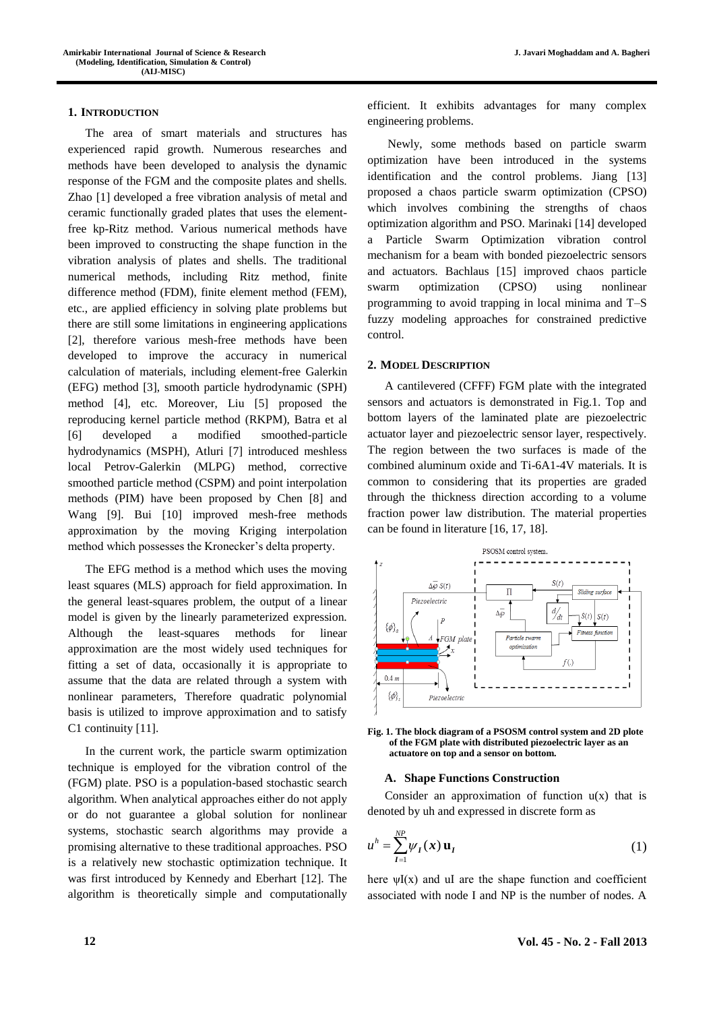#### **1. INTRODUCTION**

The area of smart materials and structures has experienced rapid growth. Numerous researches and methods have been developed to analysis the dynamic response of the FGM and the composite plates and shells. Zhao [1] developed a free vibration analysis of metal and ceramic functionally graded plates that uses the elementfree kp-Ritz method. Various numerical methods have been improved to constructing the shape function in the vibration analysis of plates and shells. The traditional numerical methods, including Ritz method, finite difference method (FDM), finite element method (FEM), etc., are applied efficiency in solving plate problems but there are still some limitations in engineering applications [2], therefore various mesh-free methods have been developed to improve the accuracy in numerical calculation of materials, including element-free Galerkin (EFG) method [3], smooth particle hydrodynamic (SPH) method [4], etc. Moreover, Liu [5] proposed the reproducing kernel particle method (RKPM), Batra et al [6] developed a modified smoothed-particle hydrodynamics (MSPH), Atluri [7] introduced meshless local Petrov-Galerkin (MLPG) method, corrective smoothed particle method (CSPM) and point interpolation methods (PIM) have been proposed by Chen [8] and Wang [9]. Bui [10] improved mesh-free methods approximation by the moving Kriging interpolation method which possesses the Kronecker's delta property.

The EFG method is a method which uses the moving least squares (MLS) approach for field approximation. In the general least-squares problem, the output of a linear model is given by the linearly parameterized expression. Although the least-squares methods for linear approximation are the most widely used techniques for fitting a set of data, occasionally it is appropriate to assume that the data are related through a system with nonlinear parameters, Therefore quadratic polynomial basis is utilized to improve approximation and to satisfy C1 continuity [11].

In the current work, the particle swarm optimization technique is employed for the vibration control of the (FGM) plate. PSO is a population-based stochastic search algorithm. When analytical approaches either do not apply or do not guarantee a global solution for nonlinear systems, stochastic search algorithms may provide a promising alternative to these traditional approaches. PSO is a relatively new stochastic optimization technique. It was first introduced by Kennedy and Eberhart [12]. The algorithm is theoretically simple and computationally efficient. It exhibits advantages for many complex engineering problems.

Newly, some methods based on particle swarm optimization have been introduced in the systems identification and the control problems. Jiang [13] proposed a chaos particle swarm optimization (CPSO) which involves combining the strengths of chaos optimization algorithm and PSO. Marinaki [14] developed a Particle Swarm Optimization vibration control mechanism for a beam with bonded piezoelectric sensors and actuators. Bachlaus [15] improved chaos particle swarm optimization (CPSO) using nonlinear programming to avoid trapping in local minima and T–S fuzzy modeling approaches for constrained predictive control.

## **2. MODEL DESCRIPTION**

A cantilevered (CFFF) FGM plate with the integrated sensors and actuators is demonstrated in Fig.1. Top and bottom layers of the laminated plate are piezoelectric actuator layer and piezoelectric sensor layer, respectively. The region between the two surfaces is made of the combined aluminum oxide and Ti-6A1-4V materials. It is common to considering that its properties are graded through the thickness direction according to a volume fraction power law distribution. The material properties can be found in literature [16, 17, 18].



**Fig. 1. The block diagram of a PSOSM control system and 2D plote of the FGM plate with distributed piezoelectric layer as an actuatore on top and a sensor on bottom.**

#### **A. Shape Functions Construction**

Consider an approximation of function  $u(x)$  that is denoted by uh and expressed in discrete form as

$$
u^h = \sum_{I=1}^{NP} \psi_I(x) \mathbf{u}_I
$$
 (1)

here  $\psi I(x)$  and uI are the shape function and coefficient associated with node I and NP is the number of nodes. A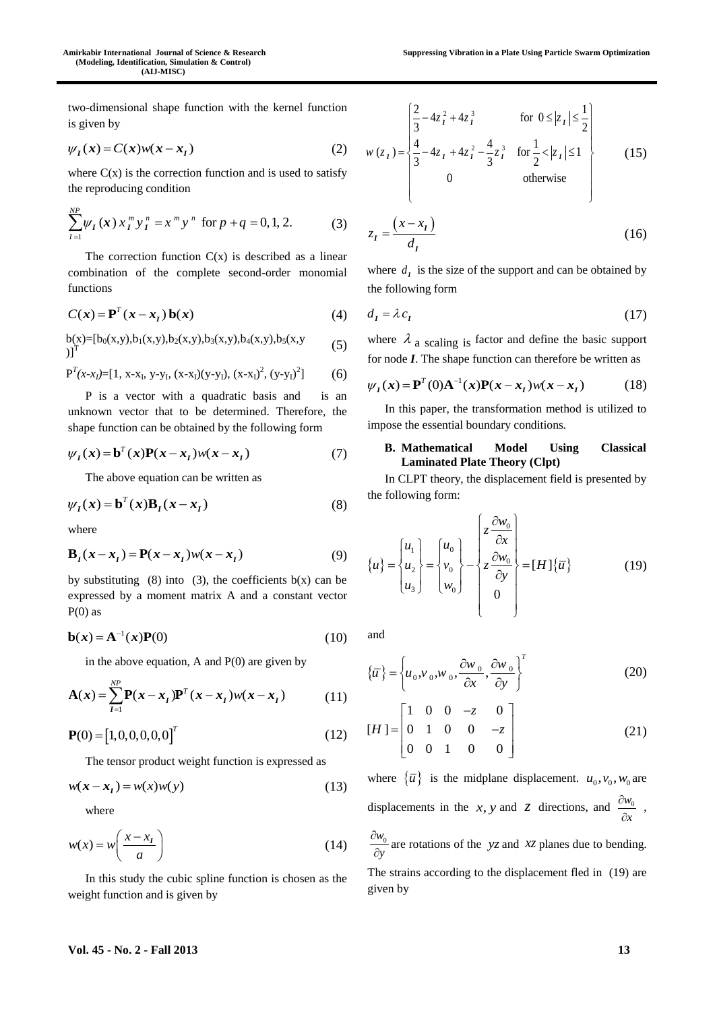two-dimensional shape function with the kernel function is given by

$$
\psi_I(x) = C(x)w(x - x_I) \tag{2}
$$

where  $C(x)$  is the correction function and is used to satisfy the reproducing condition

$$
\sum_{I=1}^{NP} \psi_I(x) x_I^m y_I^n = x^m y^n \text{ for } p+q=0,1,2. \tag{3}
$$

The correction function  $C(x)$  is described as a linear combination of the complete second-order monomial functions

$$
C(x) = \mathbf{P}^{T}(x - x_{I})\,\mathbf{b}(x) \tag{4}
$$

$$
b(x) = [b_0(x,y), b_1(x,y), b_2(x,y), b_3(x,y), b_4(x,y), b_5(x,y)]^T
$$
 (5)

$$
P^{T}(x-x_{I})=[1, x-x_{I}, y-y_{I}, (x-x_{I})(y-y_{I}), (x-x_{I})^{2}, (y-y_{I})^{2}] \qquad (6)
$$

P is a vector with a quadratic basis and is an unknown vector that to be determined. Therefore, the shape function can be obtained by the following form

$$
\psi_I(x) = \mathbf{b}^T(x)\mathbf{P}(x - x_I)w(x - x_I)
$$
\n(7)

The above equation can be written as

$$
\psi_I(x) = \mathbf{b}^T(x)\mathbf{B}_I(x - x_I)
$$
\n(8)

where

$$
\mathbf{B}_I(x - x_I) = \mathbf{P}(x - x_I)w(x - x_I)
$$
\n(9)

by substituting (8) into (3), the coefficients  $b(x)$  can be expressed by a moment matrix A and a constant vector  $P(0)$  as

$$
\mathbf{b}(\mathbf{x}) = \mathbf{A}^{-1}(\mathbf{x})\mathbf{P}(0) \tag{10}
$$

in the above equation, A and  $P(0)$  are given by

$$
\mathbf{A}(x) = \sum_{I=1}^{NP} \mathbf{P}(x - x_I) \mathbf{P}^T (x - x_I) w(x - x_I)
$$
 (11)

$$
\mathbf{P}(0) = [1, 0, 0, 0, 0, 0]^T
$$
 (12)

The tensor product weight function is expressed as

$$
w(x - x_1) = w(x)w(y)
$$
 (13)

where

$$
w(x) = w\left(\frac{x - x_1}{a}\right) \tag{14}
$$

In this study the cubic spline function is chosen as the weight function and is given by

$$
w(z_1) = \begin{cases} \frac{2}{3} - 4z_1^2 + 4z_1^3 & \text{for } 0 \le |z_1| \le \frac{1}{2} \\ \frac{4}{3} - 4z_1 + 4z_1^2 - \frac{4}{3}z_1^3 & \text{for } \frac{1}{2} < |z_1| \le 1 \\ 0 & \text{otherwise} \end{cases}
$$
(15)

$$
z_I = \frac{(x - x_I)}{d_I} \tag{16}
$$

where  $d<sub>I</sub>$  is the size of the support and can be obtained by the following form

$$
d_I = \lambda c_I \tag{17}
$$

where  $\lambda_a$  scaling is factor and define the basic support

for node *I*. The shape function can therefore be written as  

$$
\psi_I(\mathbf{x}) = \mathbf{P}^T(0)\mathbf{A}^{-1}(\mathbf{x})\mathbf{P}(\mathbf{x} - \mathbf{x}_I)w(\mathbf{x} - \mathbf{x}_I)
$$
(18)

In this paper, the transformation method is utilized to impose the essential boundary conditions.

## **B. Mathematical Model Using Classical Laminated Plate Theory (Clpt)**

In CLPT theory, the displacement field is presented by the following form:

$$
\{u\} = \begin{cases} u_1 \\ u_2 \\ u_3 \end{cases} = \begin{cases} u_0 \\ v_0 \\ w_0 \end{cases} - \begin{cases} z \frac{\partial w_0}{\partial x} \\ z \frac{\partial w_0}{\partial y} \\ 0 \end{cases} = [H]\{\overline{u}\}
$$
(19)

and

$$
\{\overline{u}\} = \left\{u_0, v_0, w_0, \frac{\partial w_0}{\partial x}, \frac{\partial w_0}{\partial y}\right\}^T
$$
 (20)

$$
[H] = \begin{bmatrix} 1 & 0 & 0 & -z & 0 \\ 0 & 1 & 0 & 0 & -z \\ 0 & 0 & 1 & 0 & 0 \end{bmatrix}
$$
 (21)

where  $\{\overline{u}\}\$ is the midplane displacement.  $u_0, v_0, w_0$  are displacements in the *x*, *y* and *z* directions, and  $\frac{\partial w_0}{\partial x}$ *x*  $\hat{o}$  $\frac{\partial w_0}{\partial x}$ ,

 $w_0$ *y*  $\partial$  $\frac{\partial w_0}{\partial y}$  are rotations of the *yz* and *xz* planes due to bending.

The strains according to the displacement fled in (19) are given by

#### **Vol. 45 - No. 2 - Fall 2013 13**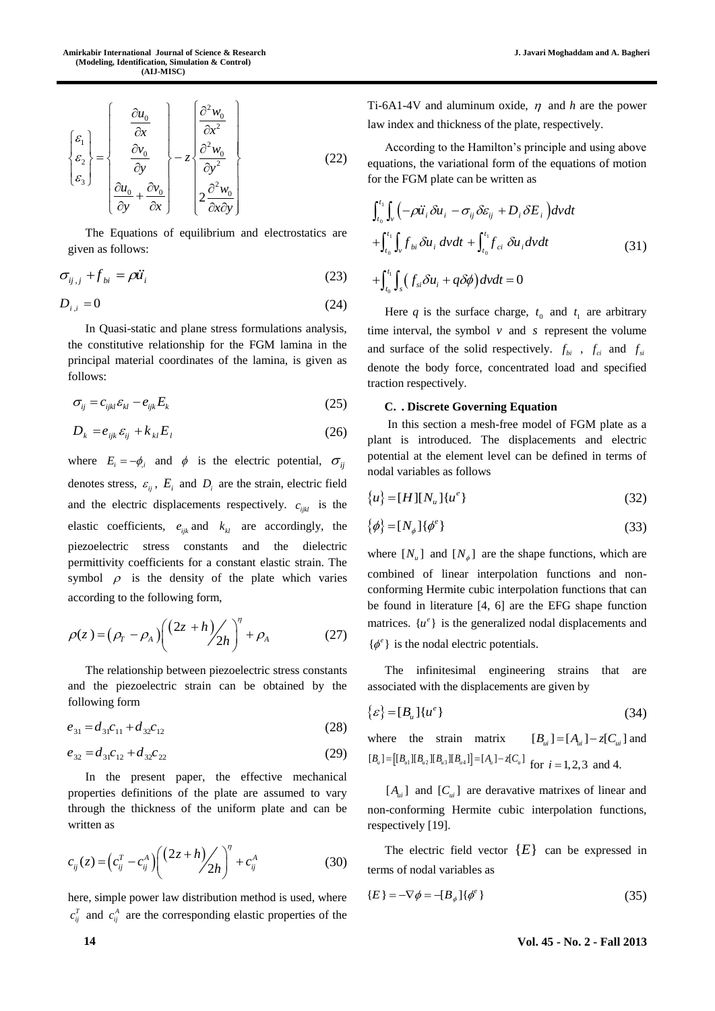$$
\begin{bmatrix} \varepsilon_1 \\ \varepsilon_2 \\ \varepsilon_3 \end{bmatrix} = \begin{bmatrix} \frac{\partial u_0}{\partial x} \\ \frac{\partial v_0}{\partial y} \\ \frac{\partial u_0}{\partial y} + \frac{\partial v_0}{\partial x} \end{bmatrix} - z \begin{bmatrix} \frac{\partial^2 w_0}{\partial x^2} \\ \frac{\partial^2 w_0}{\partial y^2} \\ \frac{\partial^2 w_0}{\partial x \partial y} \end{bmatrix}
$$
(22)

The Equations of equilibrium and electrostatics are given as follows:

$$
\sigma_{ij,j} + f_{bi} = \rho \ddot{u}_i \tag{23}
$$

$$
D_{i,i} = 0 \tag{24}
$$

In Quasi-static and plane stress formulations analysis, the constitutive relationship for the FGM lamina in the principal material coordinates of the lamina, is given as follows:

$$
\sigma_{ij} = c_{ijkl} \varepsilon_{kl} - e_{ijk} E_k \tag{25}
$$

$$
D_k = e_{ijk} \varepsilon_{ij} + k_{kl} E_l \tag{26}
$$

where  $E_i = -\phi_i$  and  $\phi$  is the electric potential,  $\sigma_{ij}$ denotes stress,  $\varepsilon_{ij}$ ,  $E_i$  and  $D_i$  are the strain, electric field and the electric displacements respectively.  $c_{ijkl}$  is the elastic coefficients,  $e_{ijk}$  and  $k_{kl}$  are accordingly, the piezoelectric stress constants and the dielectric permittivity coefficients for a constant elastic strain. The symbol  $\rho$  is the density of the plate which varies according to the following form,

$$
\rho(z) = \left(\rho_r - \rho_A\right) \left(\frac{(2z+h)}{2h}\right)^{\eta} + \rho_A \tag{27}
$$

The relationship between piezoelectric stress constants and the piezoelectric strain can be obtained by the following form

$$
e_{31} = d_{31}c_{11} + d_{32}c_{12} \tag{28}
$$

$$
e_{32} = d_{31}c_{12} + d_{32}c_{22} \tag{29}
$$

In the present paper, the effective mechanical properties definitions of the plate are assumed to vary through the thickness of the uniform plate and can be written as

$$
c_{ij}(z) = \left(c_{ij}^T - c_{ij}^A\right) \left(\frac{(2z+h)}{2h}\right)^{\eta} + c_{ij}^A \tag{30}
$$

here, simple power law distribution method is used, where  $c_{ij}^T$  and  $c_{ij}^A$  are the corresponding elastic properties of the

Ti-6A1-4V and aluminum oxide,  $\eta$  and h are the power law index and thickness of the plate, respectively.

According to the Hamilton's principle and using above equations, the variational form of the equations of motion

for the FGM plate can be written as  
\n
$$
\int_{t_0}^{t_1} \int_{v} \left( -\rho \ddot{u}_i \delta u_i - \sigma_{ij} \delta \varepsilon_{ij} + D_i \delta E_i \right) dv dt
$$
\n
$$
+ \int_{t_0}^{t_1} \int_{v} f_{bi} \delta u_i dv dt + \int_{t_0}^{t_1} f_{ci} \delta u_i dv dt
$$
\n
$$
+ \int_{t_0}^{t_1} \int_{s} \left( f_{si} \delta u_i + q \delta \phi \right) dv dt = 0
$$
\n(31)

Here *q* is the surface charge,  $t_0$  and  $t_1$  are arbitrary time interval, the symbol  $v$  and  $s$  represent the volume and surface of the solid respectively.  $f_{bi}$ ,  $f_{ci}$  and  $f_{si}$ denote the body force, concentrated load and specified traction respectively.

## **C. . Discrete Governing Equation**

In this section a mesh-free model of FGM plate as a plant is introduced. The displacements and electric potential at the element level can be defined in terms of nodal variables as follows

$$
\{u\} = [H][N_u][u^e]
$$
 (32)

$$
\{\phi\} = [N_{\phi}]\{\phi^e\}
$$
 (33)

where  $[N_u]$  and  $[N_\phi]$  are the shape functions, which are combined of linear interpolation functions and nonconforming Hermite cubic interpolation functions that can be found in literature [4, 6] are the EFG shape function matrices.  $\{u^e\}$  is the generalized nodal displacements and  $\{\phi^e\}$  is the nodal electric potentials.

The infinitesimal engineering strains that are associated with the displacements are given by

$$
\{\varepsilon\} = [B_u] \{u^e\} \tag{34}
$$

where the strain matrix  $[B_{ui}] = [A_{ui}] - z[C_{ui}]$  and  $[B_{u}] = [(B_{u}] | [B_{u2}] | [B_{u3}] | [B_{u4}]] = [A_{u}] - z[C_{u}]$  for  $i = 1, 2, 3$  and 4.

 $[A_{ui}]$  and  $[C_{ui}]$  are deravative matrixes of linear and non-conforming Hermite cubic interpolation functions, respectively [19].

The electric field vector  ${E}$  can be expressed in terms of nodal variables as

$$
\{E\} = -\nabla \phi = -[B_{\phi}]\{\phi^e\}
$$
\n(35)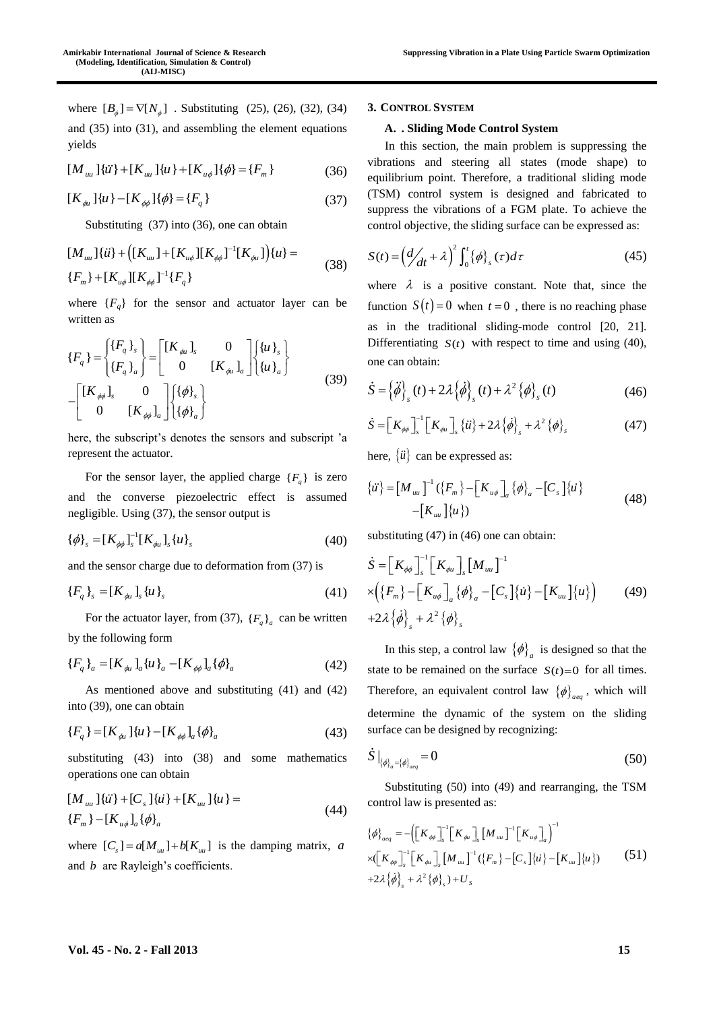where  $[B_{\phi}] = \nabla[N_{\phi}]$ . Substituting (25), (26), (32), (34) and (35) into (31), and assembling the element equations yields

$$
[M_{uu}]\{\ddot{u}\} + [K_{uu}]\{u\} + [K_{u\phi}]\{\phi\} = \{F_m\}
$$
 (36)

$$
[K_{\phi_l}]\{u\} - [K_{\phi\phi}]\{\phi\} = \{F_q\}
$$
\n(37)

Substituting (37) into (36), one can obtain

[
$$
M_{uu}
$$
] $\{ii\}$  + ([ $K_{uu}$ ] + [ $K_{u\phi}$ ][ $K_{\phi\phi}$ ]<sup>-1</sup>[ $K_{\phi u}$ ]) $\{u\}$  =  
{ $F_m$ } + [ $K_{u\phi}$ ][ $K_{\phi\phi}$ ]<sup>-1</sup>{ $F_q$ } (38)

where  ${F_q}$  for the sensor and actuator layer can be written as

$$
\{F_q\} = \begin{cases} \{F_q\}_s \\ \{F_q\}_a \end{cases} = \begin{bmatrix} [K_{\phi\iota}]_s & 0 \\ 0 & [K_{\phi\iota}]_a \end{bmatrix} \begin{bmatrix} \{u\}_s \\ \{u\}_a \end{bmatrix}
$$

$$
- \begin{bmatrix} [K_{\phi\phi}]_s & 0 \\ 0 & [K_{\phi\iota}]_a \end{bmatrix} \begin{bmatrix} \{\phi\}_s \\ \{\phi\}_a \end{bmatrix}
$$
(39)

here, the subscript's denotes the sensors and subscript 'a represent the actuator.

For the sensor layer, the applied charge  $\{F_q\}$  is zero and the converse piezoelectric effect is assumed negligible. Using (37), the sensor output is

$$
\{\phi\}_s = [K_{\phi\phi}]_s^{-1} [K_{\phi\mu}]_s \{u\}_s \tag{40}
$$

and the sensor charge due to deformation from (37) is

$$
\{F_q\}_s = [K_{\phi\iota}]_s \{\iota\iota\}_s \tag{41}
$$

For the actuator layer, from (37),  $\{F_q\}_a$  can be written by the following form

$$
\{F_q\}_a = [K_{\phi a}]_a \{u\}_a - [K_{\phi\phi}]_a \{\phi\}_a \tag{42}
$$

As mentioned above and substituting (41) and (42) into (39), one can obtain

$$
\{F_q\} = [K_{\phi u}] \{u\} - [K_{\phi\phi}]_a \{\phi\}_a \tag{43}
$$

substituting (43) into (38) and some mathematics operations one can obtain

$$
[M_{uu}]\{\ddot{u}\} + [C_s]\{\dot{u}\} + [K_{uu}]\{u\} =
$$
  

$$
\{F_m\} - [K_{u\phi}]_a\{\phi\}_a
$$
 (44)

where  $[C_s] = a[M_{uu}] + b[K_{uu}]$  is the damping matrix, a and *b* are Rayleigh's coefficients.

# **3. CONTROL SYSTEM**

### **A. . Sliding Mode Control System**

In this section, the main problem is suppressing the vibrations and steering all states (mode shape) to equilibrium point. Therefore, a traditional sliding mode (TSM) control system is designed and fabricated to suppress the vibrations of a FGM plate. To achieve the control objective, the sliding surface can be expressed as:

$$
S(t) = \left(\frac{d}{dt} + \lambda\right)^2 \int_0^t {\{\phi\}}_s(\tau) d\tau
$$
 (45)

where  $\lambda$  is a positive constant. Note that, since the function  $S(t) = 0$  when  $t = 0$ , there is no reaching phase as in the traditional sliding-mode control [20, 21]. Differentiating  $S(t)$  with respect to time and using (40), one can obtain:

$$
\dot{S} = \left\{ \ddot{\phi} \right\}_{s}(t) + 2\lambda \left\{ \dot{\phi} \right\}_{s}(t) + \lambda^2 \left\{ \phi \right\}_{s}(t)
$$
\n(46)

$$
\dot{S} = \left[K_{\phi\phi}\right]_s^{-1} \left[K_{\phi u}\right]_s \left\{i\right\} + 2\lambda \left\{\dot{\phi}\right\}_s + \lambda^2 \left\{\phi\right\}_s \tag{47}
$$

here,  $\{\ddot{u}\}\$ can be expressed as:

$$
\{\ddot{u}\} = [M_{uu}]^{-1} (\{F_m\} - [K_{u\phi}]_a {\phi\}_a - [C_s]{\dot{u}} \tag{48}
$$

$$
-[K_{uu}] {\langle u \rangle})
$$

substituting (47) in (46) one can obtain:

$$
\dot{S} = \left[K_{\phi\phi}\right]_s^{-1} \left[K_{\phi u}\right]_s \left[M_{uu}\right]^{-1}
$$
\n
$$
\times \left(\left\{F_m\right\} - \left[K_{u\phi}\right]_a \left\{\phi\right\}_a - \left[C_s\right] \left\{\dot{u}\right\} - \left[K_{uu}\right] \left\{u\right\}\right) \tag{49}
$$
\n
$$
+ 2\lambda \left\{\dot{\phi}\right\}_s + \lambda^2 \left\{\phi\right\}_s
$$

In this step, a control law  $\{\phi\}_a$  is designed so that the state to be remained on the surface  $S(t)=0$  for all times. Therefore, an equivalent control law  $\{\phi\}_{\text{aeg}}$ , which will determine the dynamic of the system on the sliding surface can be designed by recognizing:

$$
\dot{S} \big|_{\{\phi\}_a = \{\phi\}_{aq}} = 0 \tag{50}
$$

Substituting (50) into (49) and rearranging, the TSM control law is presented as:

$$
\{\phi\}_{aeq} = -\left(\left[K_{\phi\phi}\right]_{s}^{-1}\left[K_{\phi u}\right]_{s}\left[M_{uu}\right]^{-1}\left[K_{u\phi}\right]_{a}\right)^{-1}
$$
  
× $\left[K_{\phi\phi}\right]_{s}^{-1}\left[K_{\phi u}\right]_{s}\left[M_{uu}\right]^{-1}\left(\left\{F_{m}\right\}-\left[C_{s}\right]\left\{u\right\}-\left[K_{uu}\right]\left\{u\right\}\right)$  (51)  
+2 $\lambda\left\{\phi\right\}_{s} + \lambda^{2}\left\{\phi\right\}_{s} + U_{s}$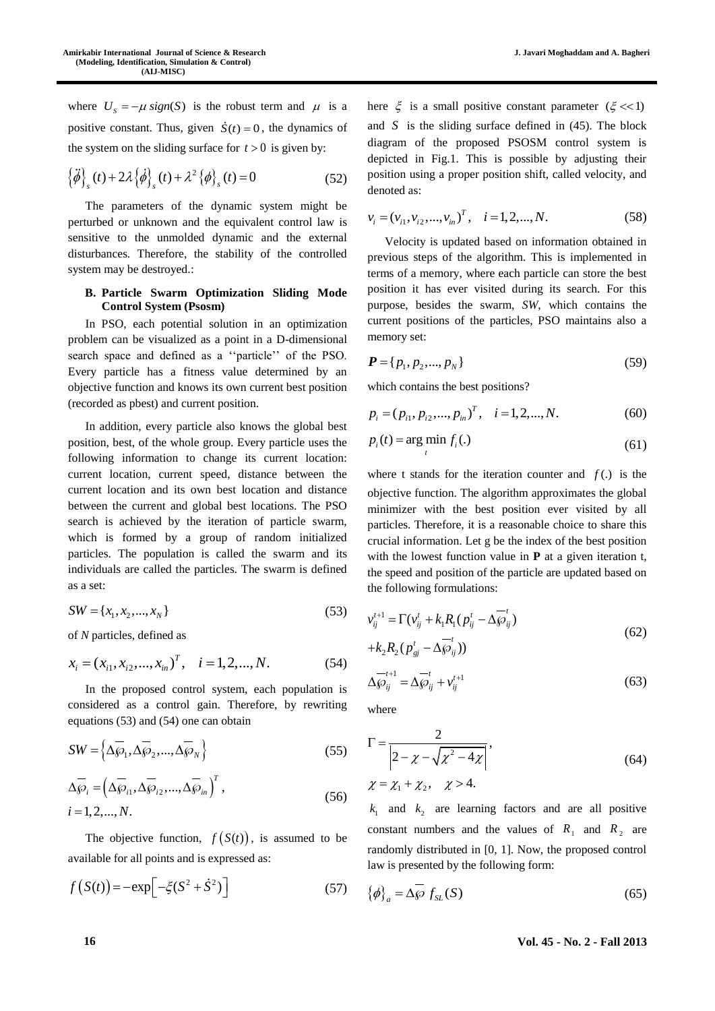where  $U_s = -\mu \operatorname{sign}(S)$  is the robust term and  $\mu$  is a positive constant. Thus, given  $\dot{S}(t) = 0$ , the dynamics of the system on the sliding surface for  $t > 0$  is given by:

$$
\left\{\ddot{\phi}\right\}_s(t) + 2\lambda \left\{\dot{\phi}\right\}_s(t) + \lambda^2 \left\{\phi\right\}_s(t) = 0
$$
 (52)

The parameters of the dynamic system might be perturbed or unknown and the equivalent control law is sensitive to the unmolded dynamic and the external disturbances. Therefore, the stability of the controlled system may be destroyed.:

## **B. Particle Swarm Optimization Sliding Mode Control System (Psosm)**

In PSO, each potential solution in an optimization problem can be visualized as a point in a D-dimensional search space and defined as a ''particle'' of the PSO. Every particle has a fitness value determined by an objective function and knows its own current best position (recorded as pbest) and current position.

In addition, every particle also knows the global best position, best, of the whole group. Every particle uses the following information to change its current location: current location, current speed, distance between the current location and its own best location and distance between the current and global best locations. The PSO search is achieved by the iteration of particle swarm, which is formed by a group of random initialized particles. The population is called the swarm and its individuals are called the particles. The swarm is defined as a set:

$$
SW = \{x_1, x_2, \dots, x_N\}
$$
\n(53)

of *N* particles, defined as

$$
x_i = (x_{i1}, x_{i2},..., x_{in})^T
$$
,  $i = 1, 2,..., N$ . (54)

In the proposed control system, each population is considered as a control gain. Therefore, by rewriting equations (53) and (54) one can obtain

$$
SW = \left\{ \Delta \overline{\wp}_1, \Delta \overline{\wp}_2, ..., \Delta \overline{\wp}_N \right\}
$$
 (55)

$$
\Delta \overline{\wp}_i = \left(\Delta \overline{\wp}_{i1}, \Delta \overline{\wp}_{i2}, ..., \Delta \overline{\wp}_{in}\right)^T, \ni = 1, 2, ..., N.
$$
\n(56)

The objective function,  $f(S(t))$ , is assumed to be available for all points and is expressed as:

$$
f(S(t)) = -\exp\left[-\xi(S^2 + \dot{S}^2)\right]
$$
 (57)

here  $\xi$  is a small positive constant parameter  $(\xi \ll 1)$ and  $S$  is the sliding surface defined in  $(45)$ . The block diagram of the proposed PSOSM control system is depicted in Fig.1. This is possible by adjusting their position using a proper position shift, called velocity, and

$$
v_i = (v_{i1}, v_{i2}, ..., v_{in})^T
$$
,  $i = 1, 2, ..., N$ . (58)

Velocity is updated based on information obtained in previous steps of the algorithm. This is implemented in terms of a memory, where each particle can store the best position it has ever visited during its search. For this purpose, besides the swarm, *SW*, which contains the current positions of the particles, PSO maintains also a memory set:

$$
\boldsymbol{P} = \{p_1, p_2, ..., p_N\} \tag{59}
$$

which contains the best positions?

denoted as:

$$
p_i = (p_{i1}, p_{i2}, ..., p_{in})^T, \quad i = 1, 2, ..., N.
$$
 (60)

$$
p_i(t) = \arg\min_t f_i(.)
$$
\n(61)

where t stands for the iteration counter and  $f(.)$  is the objective function. The algorithm approximates the global minimizer with the best position ever visited by all particles. Therefore, it is a reasonable choice to share this crucial information. Let g be the index of the best position with the lowest function value in **P** at a given iteration t, the speed and position of the particle are updated based on the following formulations:

$$
v_{ij}^{t+1} = \Gamma(v_{ij}^t + k_1 R_1 (p_{ij}^t - \Delta \overline{\wp}_{ij}^t) + k_2 R_2 (p_{sj}^t - \Delta \overline{\wp}_{ij}^t))
$$
\n(62)

$$
\Delta \overline{\wp}_{ij}^{t+1} = \Delta \overline{\wp}_{ij}^t + v_{ij}^{t+1}
$$
 (63)

where

$$
\Gamma = \frac{2}{|2 - \chi - \sqrt{\chi^2 - 4\chi}|},
$$
  
\n
$$
\chi = \chi_1 + \chi_2, \quad \chi > 4.
$$
\n(64)

 $k_1$  and  $k_2$  are learning factors and are all positive constant numbers and the values of  $R_1$  and  $R_2$  are randomly distributed in [0, 1]. Now, the proposed control law is presented by the following form:

$$
\{\phi\}_a = \Delta \overline{\wp} f_{SL}(S) \tag{65}
$$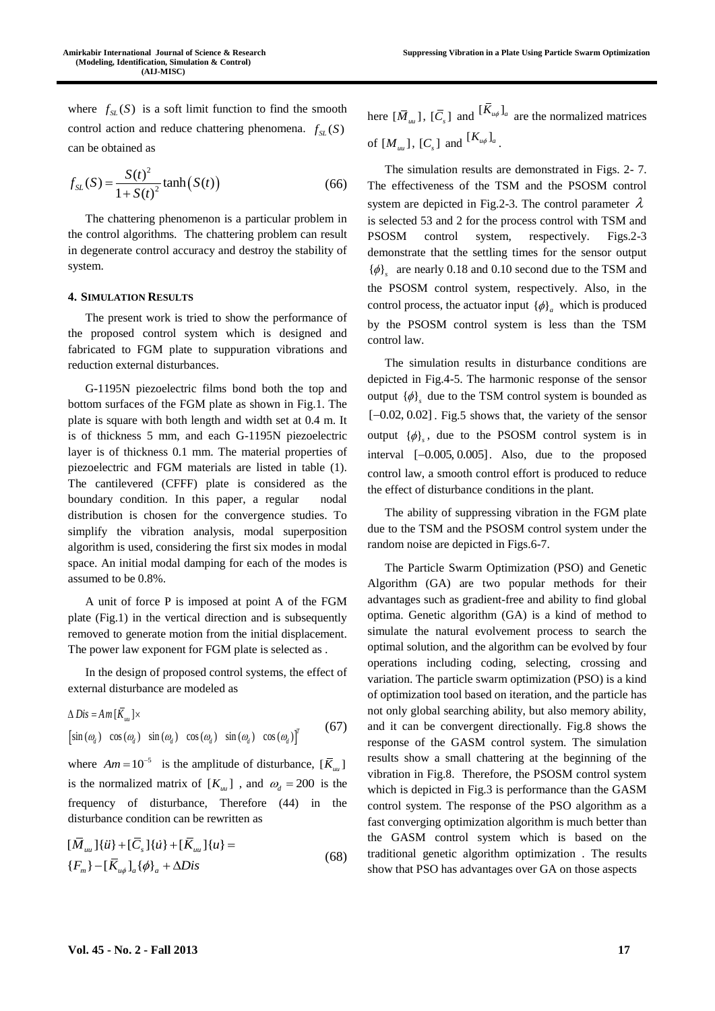where  $f_{SL}(S)$  is a soft limit function to find the smooth control action and reduce chattering phenomena.  $f_{SL}(S)$ can be obtained as

$$
f_{SL}(S) = \frac{S(t)^2}{1 + S(t)^2} \tanh(S(t))
$$
\n(66)

The chattering phenomenon is a particular problem in the control algorithms. The chattering problem can result in degenerate control accuracy and destroy the stability of system.

## **4. SIMULATION RESULTS**

The present work is tried to show the performance of the proposed control system which is designed and fabricated to FGM plate to suppuration vibrations and reduction external disturbances.

G-1195N piezoelectric films bond both the top and bottom surfaces of the FGM plate as shown in Fig.1. The plate is square with both length and width set at 0.4 m. It is of thickness 5 mm, and each G-1195N piezoelectric layer is of thickness 0.1 mm. The material properties of piezoelectric and FGM materials are listed in table (1). The cantilevered (CFFF) plate is considered as the boundary condition. In this paper, a regular nodal distribution is chosen for the convergence studies. To simplify the vibration analysis, modal superposition algorithm is used, considering the first six modes in modal space. An initial modal damping for each of the modes is assumed to be 0.8%.

A unit of force P is imposed at point A of the FGM plate (Fig.1) in the vertical direction and is subsequently removed to generate motion from the initial displacement. The power law exponent for FGM plate is selected as .

In the design of proposed control systems, the effect of external disturbance are modeled as

$$
\Delta Dis = Am \left[ \overline{K}_{uu} \right] \times
$$
  
\n
$$
\left[ \sin(\omega_a) \cos(\omega_a) \sin(\omega_a) \cos(\omega_a) \sin(\omega_a) \cos(\omega_a) \right]^T
$$
 (67)

where  $Am = 10^{-5}$  is the amplitude of disturbance,  $\overline{K}_{uu}$ is the normalized matrix of  $[K_{uu}]$ , and  $\omega_d = 200$  is the frequency of disturbance, Therefore (44) in the disturbance condition can be rewritten as

$$
\begin{aligned} [\bar{M}_{uu}]\{\ddot{u}\} + [\bar{C}_s]\{\dot{u}\} + [\bar{K}_{uu}]\{u\} &= \\ \{F_m\} - [\bar{K}_{u\phi}]_a \{\phi\}_a + \Delta Dis \end{aligned} \tag{68}
$$

here  $[\bar{M}_{uu}]$ ,  $[\bar{C}_s]$  and  $[\bar{K}_{u\phi}]_a$  are the normalized matrices of  $[M_{uu}]$ ,  $[C_s]$  and  $[K_{u\phi}]_a$ .

The simulation results are demonstrated in Figs. 2- 7. The effectiveness of the TSM and the PSOSM control system are depicted in Fig.2-3. The control parameter  $\lambda$ is selected 53 and 2 for the process control with TSM and PSOSM control system, respectively. Figs.2-3 demonstrate that the settling times for the sensor output  $\{\phi\}_s$  are nearly 0.18 and 0.10 second due to the TSM and the PSOSM control system, respectively. Also, in the control process, the actuator input  $\{\phi\}_a$  which is produced by the PSOSM control system is less than the TSM control law.

The simulation results in disturbance conditions are depicted in Fig.4-5. The harmonic response of the sensor output  $\{\phi\}_s$  due to the TSM control system is bounded as  $[-0.02, 0.02]$ . Fig.5 shows that, the variety of the sensor output  $\{\phi\}_s$ , due to the PSOSM control system is in interval  $[-0.005, 0.005]$ . Also, due to the proposed control law, a smooth control effort is produced to reduce the effect of disturbance conditions in the plant.

The ability of suppressing vibration in the FGM plate due to the TSM and the PSOSM control system under the random noise are depicted in Figs.6-7.

The Particle Swarm Optimization (PSO) and Genetic Algorithm (GA) are two popular methods for their advantages such as gradient-free and ability to find global optima. Genetic algorithm (GA) is a kind of method to simulate the natural evolvement process to search the optimal solution, and the algorithm can be evolved by four operations including coding, selecting, crossing and variation. The particle swarm optimization (PSO) is a kind of optimization tool based on iteration, and the particle has not only global searching ability, but also memory ability, and it can be convergent directionally. Fig.8 shows the response of the GASM control system. The simulation results show a small chattering at the beginning of the vibration in Fig.8. Therefore, the PSOSM control system which is depicted in Fig.3 is performance than the GASM control system. The response of the PSO algorithm as a fast converging optimization algorithm is much better than the GASM control system which is based on the traditional genetic algorithm optimization . The results show that PSO has advantages over GA on those aspects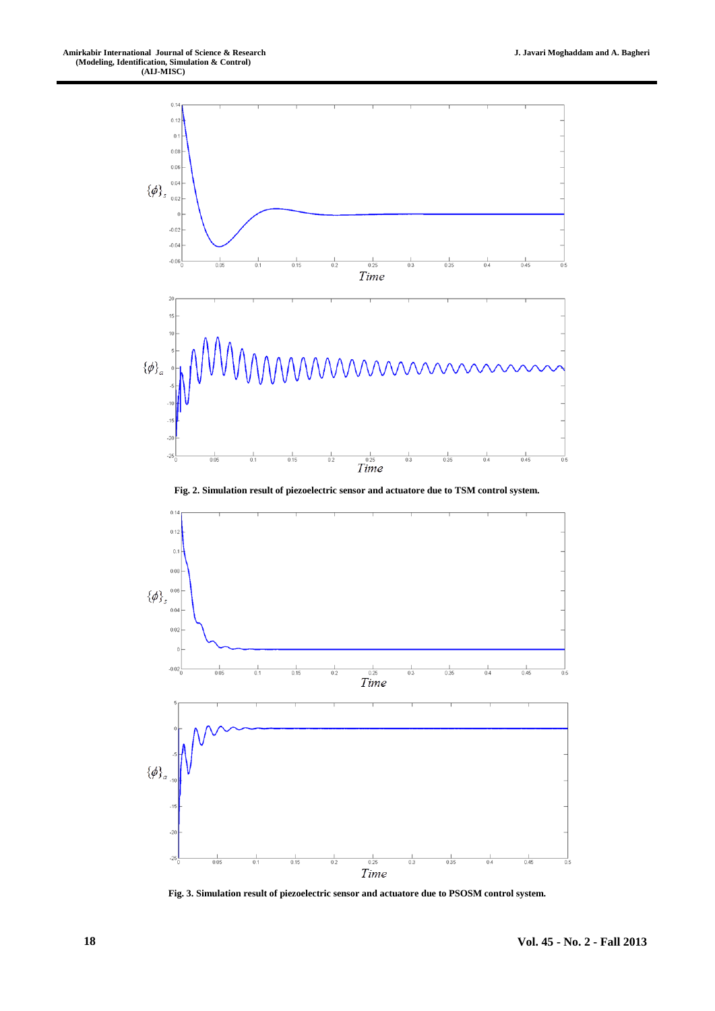

**Fig. 2. Simulation result of piezoelectric sensor and actuatore due to TSM control system.**



**Fig. 3. Simulation result of piezoelectric sensor and actuatore due to PSOSM control system.**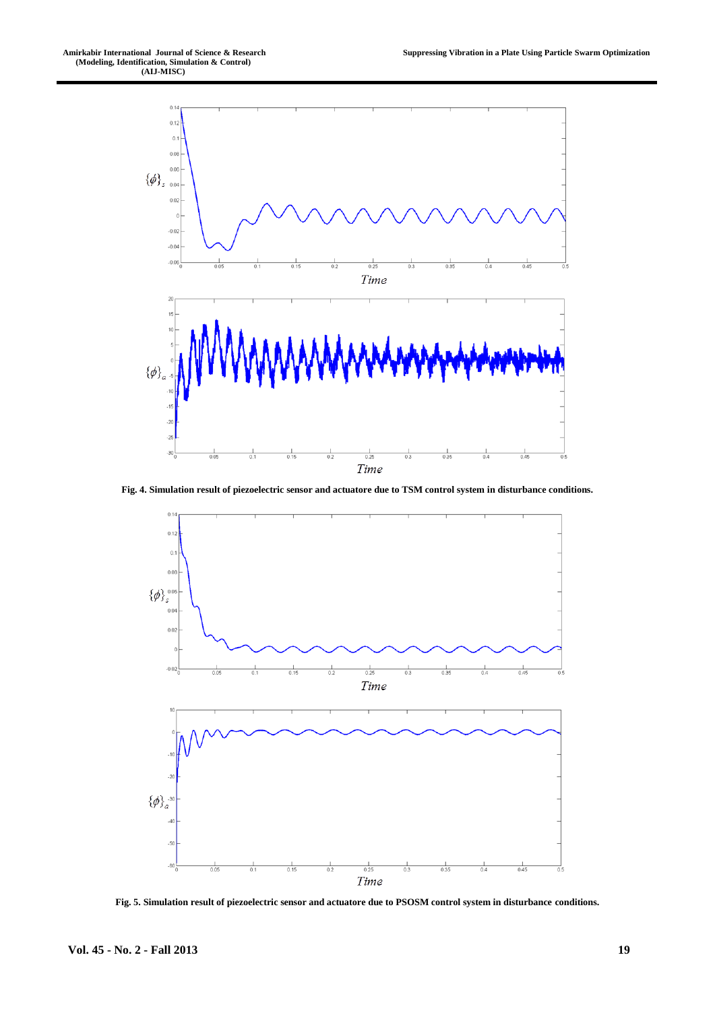

**Fig. 4. Simulation result of piezoelectric sensor and actuatore due to TSM control system in disturbance conditions.**



**Fig. 5. Simulation result of piezoelectric sensor and actuatore due to PSOSM control system in disturbance conditions.**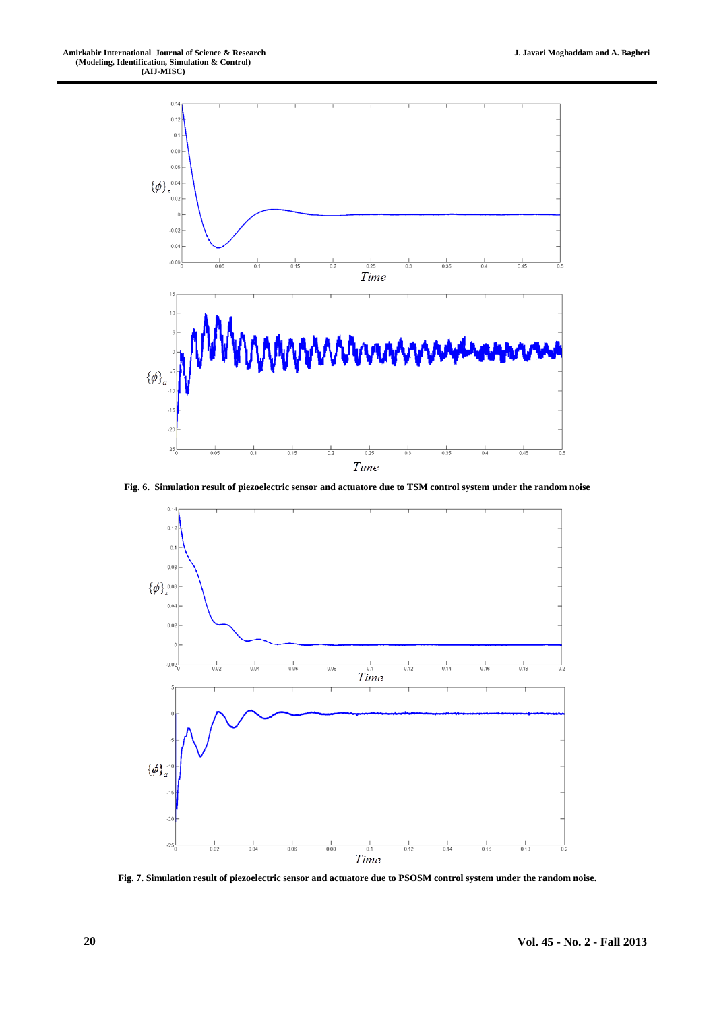

**Fig. 6. Simulation result of piezoelectric sensor and actuatore due to TSM control system under the random noise**



**Fig. 7. Simulation result of piezoelectric sensor and actuatore due to PSOSM control system under the random noise.**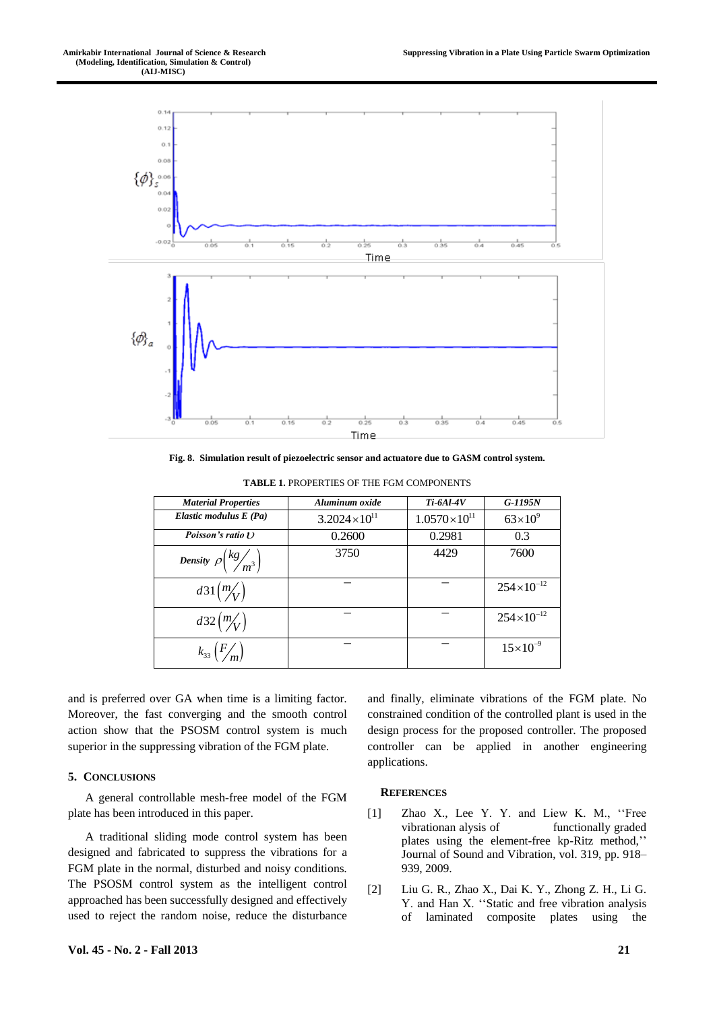

**Fig. 8. Simulation result of piezoelectric sensor and actuatore due to GASM control system.**

| <b>Material Properties</b>                 | Aluminum oxide        | <b>Ti-6Al-4V</b>      | $G-1195N$           |
|--------------------------------------------|-----------------------|-----------------------|---------------------|
| Elastic modulus E (Pa)                     | $3.2024\times10^{11}$ | $1.0570\times10^{11}$ | $63\times10^{9}$    |
| Poisson's ratio $U$                        | 0.2600                | 0.2981                | 0.3                 |
| Density $\rho \left(\frac{kg}{m^3}\right)$ | 3750                  | 4429                  | 7600                |
| $d31\left(\frac{m}{V}\right)$              |                       |                       | $254\times10^{-12}$ |
| $d32 \left(\frac{m}{V}\right)$             |                       |                       | $254\times10^{-12}$ |
| $k_{33} (F/m)$                             |                       |                       | $15 \times 10^{-9}$ |

**TABLE 1.** PROPERTIES OF THE FGM COMPONENTS

and is preferred over GA when time is a limiting factor. Moreover, the fast converging and the smooth control action show that the PSOSM control system is much superior in the suppressing vibration of the FGM plate.

#### **5. CONCLUSIONS**

A general controllable mesh-free model of the FGM plate has been introduced in this paper.

A traditional sliding mode control system has been designed and fabricated to suppress the vibrations for a FGM plate in the normal, disturbed and noisy conditions. The PSOSM control system as the intelligent control approached has been successfully designed and effectively used to reject the random noise, reduce the disturbance and finally, eliminate vibrations of the FGM plate. No constrained condition of the controlled plant is used in the design process for the proposed controller. The proposed controller can be applied in another engineering applications.

#### **REFERENCES**

- [1] Zhao X., Lee Y. Y. and Liew K. M., ''Free vibrationan alysis of functionally graded plates using the element-free kp-Ritz method,'' Journal of Sound and Vibration, vol. 319, pp. 918– 939, 2009.
- [2] Liu G. R., Zhao X., Dai K. Y., Zhong Z. H., Li G. Y. and Han X. ''Static and free vibration analysis of laminated composite plates using the